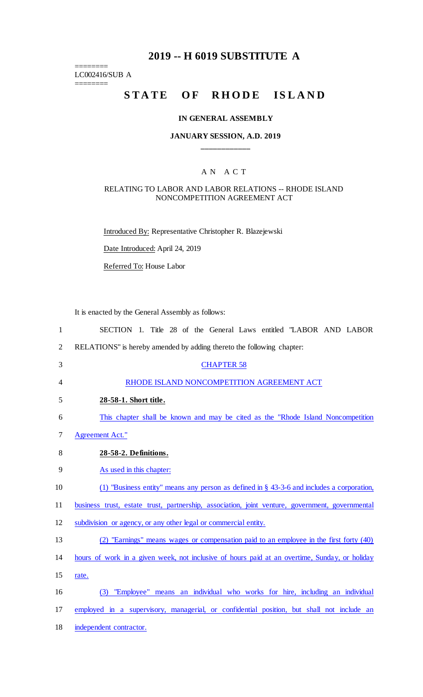## **2019 -- H 6019 SUBSTITUTE A**

LC002416/SUB A ========

========

# STATE OF RHODE ISLAND

#### **IN GENERAL ASSEMBLY**

#### **JANUARY SESSION, A.D. 2019 \_\_\_\_\_\_\_\_\_\_\_\_**

### A N A C T

#### RELATING TO LABOR AND LABOR RELATIONS -- RHODE ISLAND NONCOMPETITION AGREEMENT ACT

Introduced By: Representative Christopher R. Blazejewski

Date Introduced: April 24, 2019

Referred To: House Labor

It is enacted by the General Assembly as follows:

| $\mathbf{1}$   | SECTION 1. Title 28 of the General Laws entitled "LABOR AND LABOR                               |
|----------------|-------------------------------------------------------------------------------------------------|
| $\overline{2}$ | RELATIONS" is hereby amended by adding thereto the following chapter:                           |
| 3              | <b>CHAPTER 58</b>                                                                               |
| 4              | RHODE ISLAND NONCOMPETITION AGREEMENT ACT                                                       |
| 5              | 28-58-1. Short title.                                                                           |
| 6              | This chapter shall be known and may be cited as the "Rhode Island Noncompetition"               |
| 7              | <b>Agreement Act."</b>                                                                          |
| 8              | 28-58-2. Definitions.                                                                           |
| 9              | As used in this chapter:                                                                        |
| 10             | (1) "Business entity" means any person as defined in $\S$ 43-3-6 and includes a corporation,    |
| 11             | business trust, estate trust, partnership, association, joint venture, government, governmental |
| 12             | subdivision or agency, or any other legal or commercial entity.                                 |
| 13             | (2) "Earnings" means wages or compensation paid to an employee in the first forty (40)          |
| 14             | hours of work in a given week, not inclusive of hours paid at an overtime, Sunday, or holiday   |
| 15             | rate.                                                                                           |
| 16             | (3) "Employee" means an individual who works for hire, including an individual                  |
| 17             | employed in a supervisory, managerial, or confidential position, but shall not include an       |
| 18             | independent contractor.                                                                         |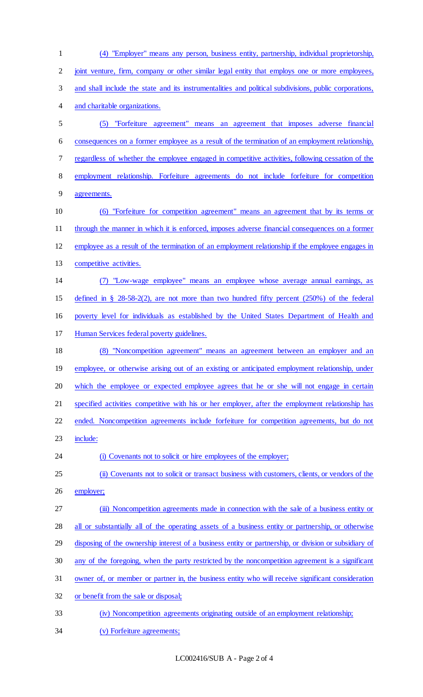(4) "Employer" means any person, business entity, partnership, individual proprietorship, joint venture, firm, company or other similar legal entity that employs one or more employees, and shall include the state and its instrumentalities and political subdivisions, public corporations, and charitable organizations. (5) "Forfeiture agreement" means an agreement that imposes adverse financial consequences on a former employee as a result of the termination of an employment relationship, regardless of whether the employee engaged in competitive activities, following cessation of the employment relationship. Forfeiture agreements do not include forfeiture for competition agreements. (6) "Forfeiture for competition agreement" means an agreement that by its terms or through the manner in which it is enforced, imposes adverse financial consequences on a former employee as a result of the termination of an employment relationship if the employee engages in 13 competitive activities. (7) "Low-wage employee" means an employee whose average annual earnings, as defined in § 28-58-2(2), are not more than two hundred fifty percent (250%) of the federal poverty level for individuals as established by the United States Department of Health and Human Services federal poverty guidelines. (8) "Noncompetition agreement" means an agreement between an employer and an 19 employee, or otherwise arising out of an existing or anticipated employment relationship, under 20 which the employee or expected employee agrees that he or she will not engage in certain specified activities competitive with his or her employer, after the employment relationship has ended. Noncompetition agreements include forfeiture for competition agreements, but do not 23 include: 24 (i) Covenants not to solicit or hire employees of the employer; 25 (ii) Covenants not to solicit or transact business with customers, clients, or vendors of the employer; 27 (iii) Noncompetition agreements made in connection with the sale of a business entity or 28 all or substantially all of the operating assets of a business entity or partnership, or otherwise disposing of the ownership interest of a business entity or partnership, or division or subsidiary of any of the foregoing, when the party restricted by the noncompetition agreement is a significant owner of, or member or partner in, the business entity who will receive significant consideration or benefit from the sale or disposal; (iv) Noncompetition agreements originating outside of an employment relationship; (v) Forfeiture agreements;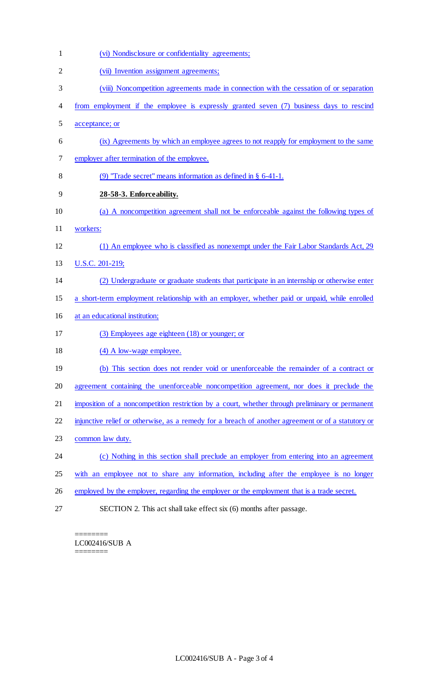| $\mathbf{1}$   | (vi) Nondisclosure or confidentiality agreements;                                                  |
|----------------|----------------------------------------------------------------------------------------------------|
| $\overline{2}$ | (vii) Invention assignment agreements;                                                             |
| 3              | (viii) Noncompetition agreements made in connection with the cessation of or separation            |
| 4              | from employment if the employee is expressly granted seven (7) business days to rescind            |
| 5              | acceptance; or                                                                                     |
| 6              | (ix) Agreements by which an employee agrees to not reapply for employment to the same              |
| 7              | employer after termination of the employee.                                                        |
| 8              | (9) "Trade secret" means information as defined in $\S$ 6-41-1.                                    |
| 9              | 28-58-3. Enforceability.                                                                           |
| 10             | (a) A noncompetition agreement shall not be enforceable against the following types of             |
| 11             | workers:                                                                                           |
| 12             | (1) An employee who is classified as nonexempt under the Fair Labor Standards Act, 29              |
| 13             | U.S.C. 201-219;                                                                                    |
| 14             | (2) Undergraduate or graduate students that participate in an internship or otherwise enter        |
| 15             | a short-term employment relationship with an employer, whether paid or unpaid, while enrolled      |
| 16             | at an educational institution;                                                                     |
| 17             | (3) Employees age eighteen (18) or younger; or                                                     |
| 18             | (4) A low-wage employee.                                                                           |
| 19             | (b) This section does not render void or unenforceable the remainder of a contract or              |
| 20             | agreement containing the unenforceable noncompetition agreement, nor does it preclude the          |
| 21             | imposition of a noncompetition restriction by a court, whether through preliminary or permanent    |
| 22             | injunctive relief or otherwise, as a remedy for a breach of another agreement or of a statutory or |
| 23             | common law duty.                                                                                   |
| 24             | (c) Nothing in this section shall preclude an employer from entering into an agreement             |
| 25             | with an employee not to share any information, including after the employee is no longer           |
| 26             | employed by the employer, regarding the employer or the employment that is a trade secret.         |
| 27             | SECTION 2. This act shall take effect six (6) months after passage.                                |

======== LC002416/SUB A ========